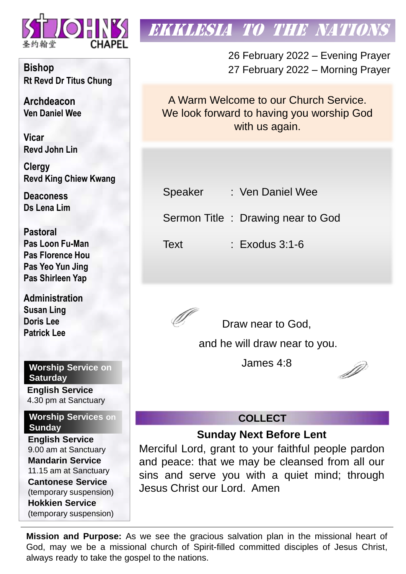

**Bishop Rt Revd Dr Titus Chung**

**Archdeacon Ven Daniel Wee**

**Vicar Revd John Lin** 

**Clergy Revd King Chiew Kwang**

**Deaconess Ds Lena Lim**

**Pastoral Pas Loon Fu-Man Pas Florence Hou Pas Yeo Yun Jing Pas Shirleen Yap**

**Administration Susan Ling Doris Lee Patrick Lee**

**Worship Service on Saturday English Service** 

4.30 pm at Sanctuary

**Worship Services on Sunday**

**English Service** 9.00 am at Sanctuary **Mandarin Service** 11.15 am at Sanctuary **Cantonese Service** (temporary suspension) **Hokkien Service** (temporary suspension)

# **EKKLESIA TO THE NATION**

26 February 2022 – Evening Prayer 27 February 2022 – Morning Prayer

A Warm Welcome to our Church Service. We look forward to having you worship God with us again.

| Speaker |  | : Ven Daniel Wee |
|---------|--|------------------|
|---------|--|------------------|

Sermon Title : Drawing near to God

Text : Exodus 3:1-6



Draw near to God,

and he will draw near to you.

James 4:8

D

# **COLLECT**

# **Sunday Next Before Lent**

Merciful Lord, grant to your faithful people pardon and peace: that we may be cleansed from all our sins and serve you with a quiet mind; through Jesus Christ our Lord. Amen

**Mission and Purpose:** As we see the gracious salvation plan in the missional heart of God, may we be a missional church of Spirit-filled committed disciples of Jesus Christ, always ready to take the gospel to the nations.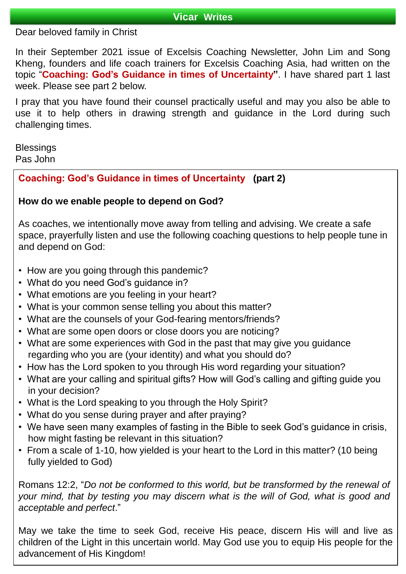## **Vicar Writes**

# Dear beloved family in Christ

In their September 2021 issue of Excelsis Coaching Newsletter, John Lim and Song Kheng, founders and life coach trainers for Excelsis Coaching Asia, had written on the topic "**Coaching: God's Guidance in times of Uncertainty"**. I have shared part 1 last week. Please see part 2 below.

I pray that you have found their counsel practically useful and may you also be able to use it to help others in drawing strength and guidance in the Lord during such challenging times.

**Blessings** Pas John

# **Coaching: God's Guidance in times of Uncertainty (part 2)**

# **How do we enable people to depend on God?**

As coaches, we intentionally move away from telling and advising. We create a safe space, prayerfully listen and use the following coaching questions to help people tune in and depend on God:

- How are you going through this pandemic?
- What do you need God's guidance in?
- What emotions are you feeling in your heart?
- What is your common sense telling you about this matter?
- What are the counsels of your God-fearing mentors/friends?
- What are some open doors or close doors you are noticing?
- What are some experiences with God in the past that may give you guidance regarding who you are (your identity) and what you should do?
- How has the Lord spoken to you through His word regarding your situation?
- What are your calling and spiritual gifts? How will God's calling and gifting guide you in your decision?
- What is the Lord speaking to you through the Holy Spirit?
- What do you sense during prayer and after praying?
- We have seen many examples of fasting in the Bible to seek God's guidance in crisis, how might fasting be relevant in this situation?
- From a scale of 1-10, how yielded is your heart to the Lord in this matter? (10 being fully yielded to God)

Romans 12:2, "*Do not be conformed to this world, but be transformed by the renewal of your mind, that by testing you may discern what is the will of God, what is good and acceptable and perfect*."

May we take the time to seek God, receive His peace, discern His will and live as children of the Light in this uncertain world. May God use you to equip His people for the advancement of His Kingdom!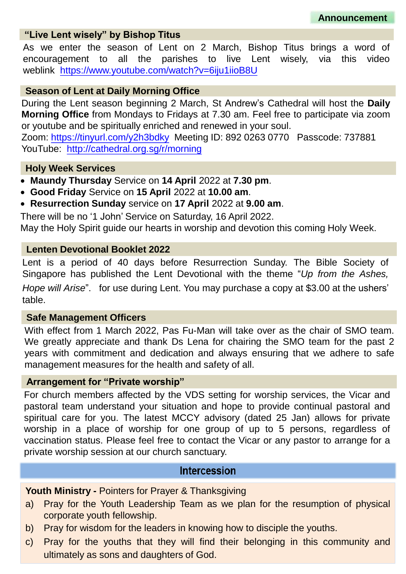## **"Live Lent wisely" by Bishop Titus**

As we enter the season of Lent on 2 March, Bishop Titus brings a word of encouragement to all the parishes to live Lent wisely, via this video weblink <https://www.youtube.com/watch?v=6iju1iioB8U>

### **Season of Lent at Daily Morning Office**

During the Lent season beginning 2 March, St Andrew's Cathedral will host the **Daily Morning Office** from Mondays to Fridays at 7.30 am. Feel free to participate via zoom or youtube and be spiritually enriched and renewed in your soul.

Zoom: <https://tinyurl.com/y2h3bdky> Meeting ID: 892 0263 0770 Passcode: 737881 YouTube: <http://cathedral.org.sg/r/morning>

#### **Holy Week Services**

- **Maundy Thursday** Service on **14 April** 2022 at **7.30 pm**.
- **Good Friday** Service on **15 April** 2022 at **10.00 am**.
- **Resurrection Sunday** service on **17 April** 2022 at **9.00 am**.

There will be no '1 John' Service on Saturday, 16 April 2022. May the Holy Spirit guide our hearts in worship and devotion this coming Holy Week.

#### **Lenten Devotional Booklet 2022**

Lent is a period of 40 days before Resurrection Sunday. The Bible Society of Singapore has published the Lent Devotional with the theme "*Up from the Ashes, Hope will Arise*". for use during Lent. You may purchase a copy at \$3.00 at the ushers' table.

#### **Safe Management Officers**

With effect from 1 March 2022, Pas Fu-Man will take over as the chair of SMO team. We greatly appreciate and thank Ds Lena for chairing the SMO team for the past 2 years with commitment and dedication and always ensuring that we adhere to safe management measures for the health and safety of all.

### **Arrangement for "Private worship"**

For church members affected by the VDS setting for worship services, the Vicar and pastoral team understand your situation and hope to provide continual pastoral and spiritual care for you. The latest MCCY advisory (dated 25 Jan) allows for private worship in a place of worship for one group of up to 5 persons, regardless of vaccination status. Please feel free to contact the Vicar or any pastor to arrange for a private worship session at our church sanctuary.

#### **Intercession**

**Youth Ministry -** Pointers for Prayer & Thanksgiving

- a) Pray for the Youth Leadership Team as we plan for the resumption of physical corporate youth fellowship.
- b) Pray for wisdom for the leaders in knowing how to disciple the youths.
- c) Pray for the youths that they will find their belonging in this community and ultimately as sons and daughters of God.